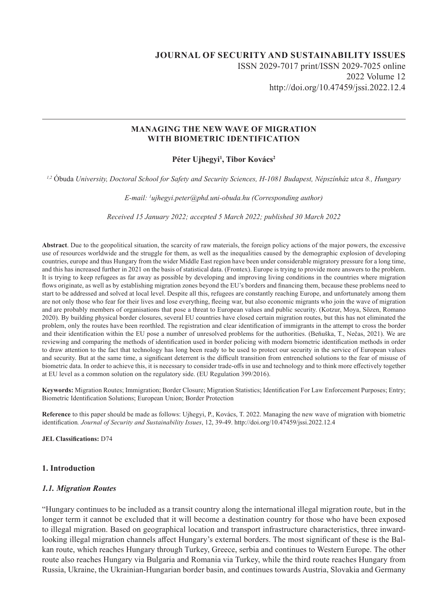## **JOURNAL OF SECURITY AND SUSTAINABILITY ISSUES** ISSN 2029-7017 print/ISSN 2029-7025 online 2022 Volume 12 http://doi.org/10.47459/jssi.2022.12.4

#### **MANAGING THE NEW WAVE OF MIGRATION WITH BIOMETRIC IDENTIFICATION**

#### Péter Ujhegyi<sup>1</sup>, Tibor Kovács<sup>2</sup>

*1,2* Óbuda *University, Doctoral School for Safety and Security Sciences, H-1081 Budapest, Népszínház utca 8., Hungary*

*E-mail: 1 ujhegyi.peter@phd.uni-obuda.hu (Corresponding author)*

*Received 15 January 2022; accepted 5 March 2022; published 30 March 2022*

**Abstract**. Due to the geopolitical situation, the scarcity of raw materials, the foreign policy actions of the major powers, the excessive use of resources worldwide and the struggle for them, as well as the inequalities caused by the demographic explosion of developing countries, europe and thus Hungary from the wider Middle East region have been under considerable migratory pressure for a long time, and this has increased further in 2021 on the basis of statistical data. (Frontex). Europe is trying to provide more answers to the problem. It is trying to keep refugees as far away as possible by developing and improving living conditions in the countries where migration flows originate, as well as by establishing migration zones beyond the EU's borders and financing them, because these problems need to start to be addressed and solved at local level. Despite all this, refugees are constantly reaching Europe, and unfortunately among them are not only those who fear for their lives and lose everything, fleeing war, but also economic migrants who join the wave of migration and are probably members of organisations that pose a threat to European values and public security. (Kotzur, Moya, Sözen, Romano 2020). By building physical border closures, several EU countries have closed certain migration routes, but this has not eliminated the problem, only the routes have been reorthled. The registration and clear identification of immigrants in the attempt to cross the border and their identification within the EU pose a number of unresolved problems for the authorities. (Beňuška, T., Nečas, 2021). We are reviewing and comparing the methods of identification used in border policing with modern biometric identification methods in order to draw attention to the fact that technology has long been ready to be used to protect our security in the service of European values and security. But at the same time, a significant deterrent is the difficult transition from entrenched solutions to the fear of misuse of biometric data. In order to achieve this, it is necessary to consider trade-offs in use and technology and to think more effectively together at EU level as a common solution on the regulatory side. (EU Regulation 399/2016).

**Keywords:** Migration Routes; Immigration; Border Closure; Migration Statistics; Identification For Law Enforcement Purposes; Entry; Biometric Identification Solutions; European Union; Border Protection

**Reference** to this paper should be made as follows: Ujhegyi, P., Kovács, T. 2022. Managing the new wave of migration with biometric identification*. Journal of Security and Sustainability Issues*, 12, 39-49. http://doi.org/10.47459/jssi.2022.12.4

**JEL Classifications:** D74

#### **1. Introduction**

#### *1.1. Migration Routes*

"Hungary continues to be included as a transit country along the international illegal migration route, but in the longer term it cannot be excluded that it will become a destination country for those who have been exposed to illegal migration. Based on geographical location and transport infrastructure characteristics, three inwardlooking illegal migration channels affect Hungary's external borders. The most significant of these is the Balkan route, which reaches Hungary through Turkey, Greece, serbia and continues to Western Europe. The other route also reaches Hungary via Bulgaria and Romania via Turkey, while the third route reaches Hungary from Russia, Ukraine, the Ukrainian-Hungarian border basin, and continues towards Austria, Slovakia and Germany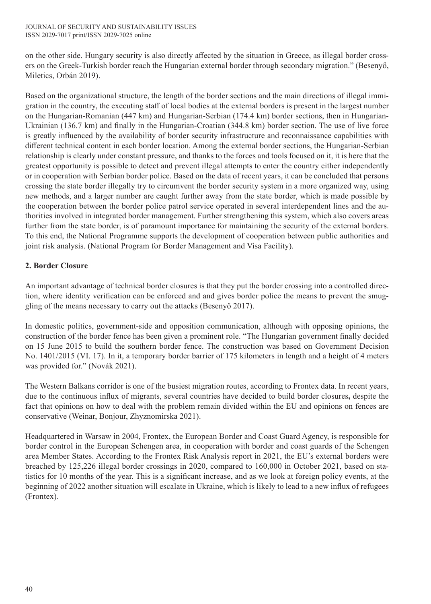on the other side. Hungary security is also directly affected by the situation in Greece, as illegal border crossers on the Greek-Turkish border reach the Hungarian external border through secondary migration." (Besenyő, Miletics, Orbán 2019).

Based on the organizational structure, the length of the border sections and the main directions of illegal immigration in the country, the executing staff of local bodies at the external borders is present in the largest number on the Hungarian-Romanian (447 km) and Hungarian-Serbian (174.4 km) border sections, then in Hungarian-Ukrainian (136.7 km) and finally in the Hungarian-Croatian (344.8 km) border section. The use of live force is greatly influenced by the availability of border security infrastructure and reconnaissance capabilities with different technical content in each border location. Among the external border sections, the Hungarian-Serbian relationship is clearly under constant pressure, and thanks to the forces and tools focused on it, it is here that the greatest opportunity is possible to detect and prevent illegal attempts to enter the country either independently or in cooperation with Serbian border police. Based on the data of recent years, it can be concluded that persons crossing the state border illegally try to circumvent the border security system in a more organized way, using new methods, and a larger number are caught further away from the state border, which is made possible by the cooperation between the border police patrol service operated in several interdependent lines and the authorities involved in integrated border management. Further strengthening this system, which also covers areas further from the state border, is of paramount importance for maintaining the security of the external borders. To this end, the National Programme supports the development of cooperation between public authorities and joint risk analysis. (National Program for Border Management and Visa Facility).

# **2. Border Closure**

An important advantage of technical border closures is that they put the border crossing into a controlled direction, where identity verification can be enforced and and gives border police the means to prevent the smuggling of the means necessary to carry out the attacks (Besenyő 2017).

In domestic politics, government-side and opposition communication, although with opposing opinions, the construction of the border fence has been given a prominent role. "The Hungarian government finally decided on 15 June 2015 to build the southern border fence. The construction was based on Government Decision No. 1401/2015 (VI. 17). In it, a temporary border barrier of 175 kilometers in length and a height of 4 meters was provided for." (Novák 2021).

The Western Balkans corridor is one of the busiest migration routes, according to Frontex data. In recent years, due to the continuous influx of migrants, several countries have decided to build border closures**,** despite the fact that opinions on how to deal with the problem remain divided within the EU and opinions on fences are conservative (Weinar, Bonjour, Zhyznomirska 2021).

Headquartered in Warsaw in 2004, Frontex, the European Border and Coast Guard Agency, is responsible for border control in the European Schengen area, in cooperation with border and coast guards of the Schengen area Member States. According to the Frontex Risk Analysis report in 2021, the EU's external borders were breached by 125,226 illegal border crossings in 2020, compared to 160,000 in October 2021, based on statistics for 10 months of the year. This is a significant increase, and as we look at foreign policy events, at the beginning of 2022 another situation will escalate in Ukraine, which is likely to lead to a new influx of refugees (Frontex).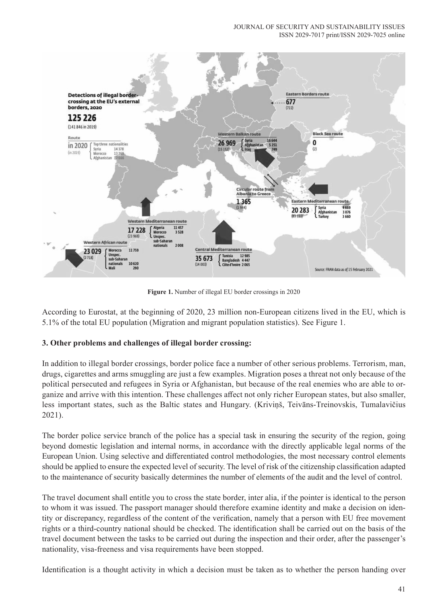

**Figure 1.** Number of illegal EU border crossings in 2020

According to Eurostat, at the beginning of 2020, 23 million non-European citizens lived in the EU, which is 5.1% of the total EU population (Migration and migrant population statistics). See Figure 1.

## **3. Other problems and challenges of illegal border crossing:**

In addition to illegal border crossings, border police face a number of other serious problems. Terrorism, man, drugs, cigarettes and arms smuggling are just a few examples. Migration poses a threat not only because of the political persecuted and refugees in Syria or Afghanistan, but because of the real enemies who are able to organize and arrive with this intention. These challenges affect not only richer European states, but also smaller, less important states, such as the Baltic states and Hungary. (Kriviņš, Teivāns-Treinovskis, Tumalavičius 2021).

The border police service branch of the police has a special task in ensuring the security of the region, going beyond domestic legislation and internal norms, in accordance with the directly applicable legal norms of the European Union. Using selective and differentiated control methodologies, the most necessary control elements should be applied to ensure the expected level of security. The level of risk of the citizenship classification adapted to the maintenance of security basically determines the number of elements of the audit and the level of control.

The travel document shall entitle you to cross the state border, inter alia, if the pointer is identical to the person to whom it was issued. The passport manager should therefore examine identity and make a decision on identity or discrepancy, regardless of the content of the verification, namely that a person with EU free movement rights or a third-country national should be checked. The identification shall be carried out on the basis of the travel document between the tasks to be carried out during the inspection and their order, after the passenger's nationality, visa-freeness and visa requirements have been stopped.

Identification is a thought activity in which a decision must be taken as to whether the person handing over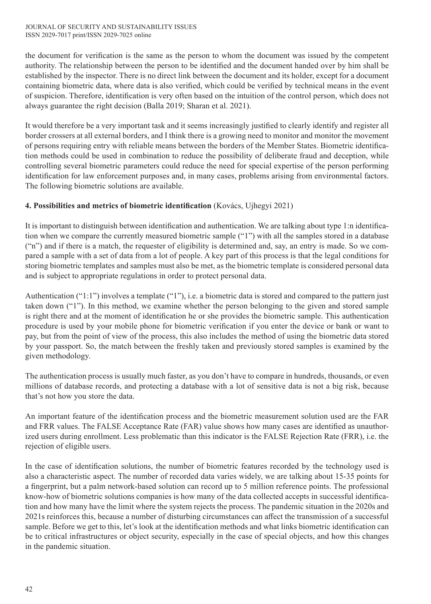the document for verification is the same as the person to whom the document was issued by the competent authority. The relationship between the person to be identified and the document handed over by him shall be established by the inspector. There is no direct link between the document and its holder, except for a document containing biometric data, where data is also verified, which could be verified by technical means in the event of suspicion. Therefore, identification is very often based on the intuition of the control person, which does not always guarantee the right decision (Balla 2019; Sharan et al. 2021).

It would therefore be a very important task and it seems increasingly justified to clearly identify and register all border crossers at all external borders, and I think there is a growing need to monitor and monitor the movement of persons requiring entry with reliable means between the borders of the Member States. Biometric identification methods could be used in combination to reduce the possibility of deliberate fraud and deception, while controlling several biometric parameters could reduce the need for special expertise of the person performing identification for law enforcement purposes and, in many cases, problems arising from environmental factors. The following biometric solutions are available.

# **4. Possibilities and metrics of biometric identification** (Kovács, Ujhegyi 2021)

It is important to distinguish between identification and authentication. We are talking about type 1:n identification when we compare the currently measured biometric sample ("1") with all the samples stored in a database ("n") and if there is a match, the requester of eligibility is determined and, say, an entry is made. So we compared a sample with a set of data from a lot of people. A key part of this process is that the legal conditions for storing biometric templates and samples must also be met, as the biometric template is considered personal data and is subject to appropriate regulations in order to protect personal data.

Authentication ("1:1") involves a template ("1"), i.e. a biometric data is stored and compared to the pattern just taken down ("1"). In this method, we examine whether the person belonging to the given and stored sample is right there and at the moment of identification he or she provides the biometric sample. This authentication procedure is used by your mobile phone for biometric verification if you enter the device or bank or want to pay, but from the point of view of the process, this also includes the method of using the biometric data stored by your passport. So, the match between the freshly taken and previously stored samples is examined by the given methodology.

The authentication process is usually much faster, as you don't have to compare in hundreds, thousands, or even millions of database records, and protecting a database with a lot of sensitive data is not a big risk, because that's not how you store the data.

An important feature of the identification process and the biometric measurement solution used are the FAR and FRR values. The FALSE Acceptance Rate (FAR) value shows how many cases are identified as unauthorized users during enrollment. Less problematic than this indicator is the FALSE Rejection Rate (FRR), i.e. the rejection of eligible users.

In the case of identification solutions, the number of biometric features recorded by the technology used is also a characteristic aspect. The number of recorded data varies widely, we are talking about 15-35 points for a fingerprint, but a palm network-based solution can record up to 5 million reference points. The professional know-how of biometric solutions companies is how many of the data collected accepts in successful identification and how many have the limit where the system rejects the process. The pandemic situation in the 2020s and 2021s reinforces this, because a number of disturbing circumstances can affect the transmission of a successful sample. Before we get to this, let's look at the identification methods and what links biometric identification can be to critical infrastructures or object security, especially in the case of special objects, and how this changes in the pandemic situation.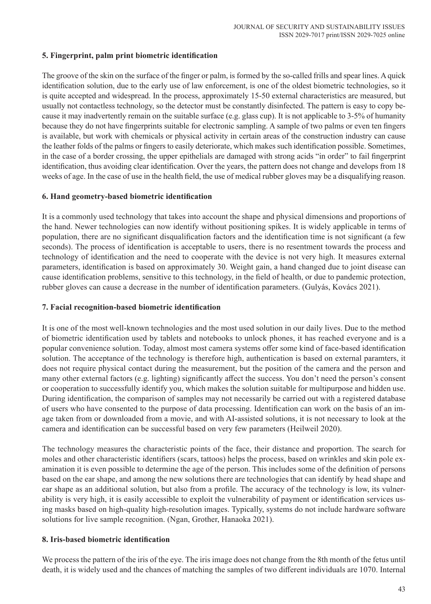#### **5. Fingerprint, palm print biometric identification**

The groove of the skin on the surface of the finger or palm, is formed by the so-called frills and spear lines. A quick identification solution, due to the early use of law enforcement, is one of the oldest biometric technologies, so it is quite accepted and widespread. In the process, approximately 15-50 external characteristics are measured, but usually not contactless technology, so the detector must be constantly disinfected. The pattern is easy to copy because it may inadvertently remain on the suitable surface (e.g. glass cup). It is not applicable to 3-5% of humanity because they do not have fingerprints suitable for electronic sampling. A sample of two palms or even ten fingers is available, but work with chemicals or physical activity in certain areas of the construction industry can cause the leather folds of the palms or fingers to easily deteriorate, which makes such identification possible. Sometimes, in the case of a border crossing, the upper epithelials are damaged with strong acids "in order" to fail fingerprint identification, thus avoiding clear identification. Over the years, the pattern does not change and develops from 18 weeks of age. In the case of use in the health field, the use of medical rubber gloves may be a disqualifying reason.

#### **6. Hand geometry-based biometric identification**

It is a commonly used technology that takes into account the shape and physical dimensions and proportions of the hand. Newer technologies can now identify without positioning spikes. It is widely applicable in terms of population, there are no significant disqualification factors and the identification time is not significant (a few seconds). The process of identification is acceptable to users, there is no resentment towards the process and technology of identification and the need to cooperate with the device is not very high. It measures external parameters, identification is based on approximately 30. Weight gain, a hand changed due to joint disease can cause identification problems, sensitive to this technology, in the field of health, or due to pandemic protection, rubber gloves can cause a decrease in the number of identification parameters. (Gulyás, Kovács 2021).

#### **7. Facial recognition-based biometric identification**

It is one of the most well-known technologies and the most used solution in our daily lives. Due to the method of biometric identification used by tablets and notebooks to unlock phones, it has reached everyone and is a popular convenience solution. Today, almost most camera systems offer some kind of face-based identification solution. The acceptance of the technology is therefore high, authentication is based on external paramters, it does not require physical contact during the measurement, but the position of the camera and the person and many other external factors (e.g. lighting) significantly affect the success. You don't need the person's consent or cooperation to successfully identify you, which makes the solution suitable for multipurpose and hidden use. During identification, the comparison of samples may not necessarily be carried out with a registered database of users who have consented to the purpose of data processing. Identification can work on the basis of an image taken from or downloaded from a movie, and with AI-assisted solutions, it is not necessary to look at the camera and identification can be successful based on very few parameters (Heilweil 2020).

The technology measures the characteristic points of the face, their distance and proportion. The search for moles and other characteristic identifiers (scars, tattoos) helps the process, based on wrinkles and skin pole examination it is even possible to determine the age of the person. This includes some of the definition of persons based on the ear shape, and among the new solutions there are technologies that can identify by head shape and ear shape as an additional solution, but also from a profile. The accuracy of the technology is low, its vulnerability is very high, it is easily accessible to exploit the vulnerability of payment or identification services using masks based on high-quality high-resolution images. Typically, systems do not include hardware software solutions for live sample recognition. (Ngan, Grother, Hanaoka 2021).

## **8. Iris-based biometric identification**

We process the pattern of the iris of the eye. The iris image does not change from the 8th month of the fetus until death, it is widely used and the chances of matching the samples of two different individuals are 1070. Internal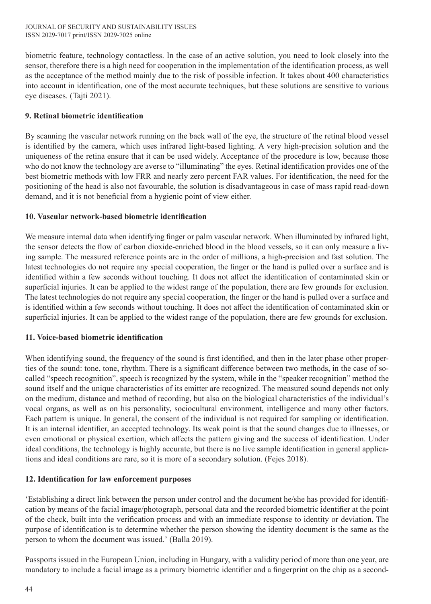biometric feature, technology contactless. In the case of an active solution, you need to look closely into the sensor, therefore there is a high need for cooperation in the implementation of the identification process, as well as the acceptance of the method mainly due to the risk of possible infection. It takes about 400 characteristics into account in identification, one of the most accurate techniques, but these solutions are sensitive to various eye diseases. (Tajti 2021).

# **9. Retinal biometric identification**

By scanning the vascular network running on the back wall of the eye, the structure of the retinal blood vessel is identified by the camera, which uses infrared light-based lighting. A very high-precision solution and the uniqueness of the retina ensure that it can be used widely. Acceptance of the procedure is low, because those who do not know the technology are averse to "illuminating" the eyes. Retinal identification provides one of the best biometric methods with low FRR and nearly zero percent FAR values. For identification, the need for the positioning of the head is also not favourable, the solution is disadvantageous in case of mass rapid read-down demand, and it is not beneficial from a hygienic point of view either.

## **10. Vascular network-based biometric identification**

We measure internal data when identifying finger or palm vascular network. When illuminated by infrared light, the sensor detects the flow of carbon dioxide-enriched blood in the blood vessels, so it can only measure a living sample. The measured reference points are in the order of millions, a high-precision and fast solution. The latest technologies do not require any special cooperation, the finger or the hand is pulled over a surface and is identified within a few seconds without touching. It does not affect the identification of contaminated skin or superficial injuries. It can be applied to the widest range of the population, there are few grounds for exclusion. The latest technologies do not require any special cooperation, the finger or the hand is pulled over a surface and is identified within a few seconds without touching. It does not affect the identification of contaminated skin or superficial injuries. It can be applied to the widest range of the population, there are few grounds for exclusion.

## **11. Voice-based biometric identification**

When identifying sound, the frequency of the sound is first identified, and then in the later phase other properties of the sound: tone, tone, rhythm. There is a significant difference between two methods, in the case of socalled "speech recognition", speech is recognized by the system, while in the "speaker recognition" method the sound itself and the unique characteristics of its emitter are recognized. The measured sound depends not only on the medium, distance and method of recording, but also on the biological characteristics of the individual's vocal organs, as well as on his personality, sociocultural environment, intelligence and many other factors. Each pattern is unique. In general, the consent of the individual is not required for sampling or identification. It is an internal identifier, an accepted technology. Its weak point is that the sound changes due to illnesses, or even emotional or physical exertion, which affects the pattern giving and the success of identification. Under ideal conditions, the technology is highly accurate, but there is no live sample identification in general applications and ideal conditions are rare, so it is more of a secondary solution. (Fejes 2018).

## **12. Identification for law enforcement purposes**

'Establishing a direct link between the person under control and the document he/she has provided for identification by means of the facial image/photograph, personal data and the recorded biometric identifier at the point of the check, built into the verification process and with an immediate response to identity or deviation. The purpose of identification is to determine whether the person showing the identity document is the same as the person to whom the document was issued.' (Balla 2019).

Passports issued in the European Union, including in Hungary, with a validity period of more than one year, are mandatory to include a facial image as a primary biometric identifier and a fingerprint on the chip as a second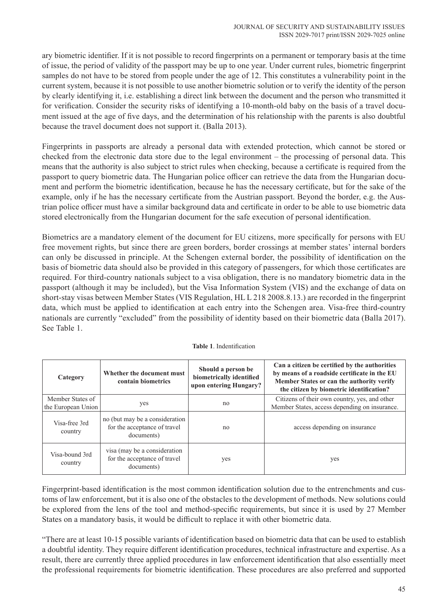ary biometric identifier. If it is not possible to record fingerprints on a permanent or temporary basis at the time of issue, the period of validity of the passport may be up to one year. Under current rules, biometric fingerprint samples do not have to be stored from people under the age of 12. This constitutes a vulnerability point in the current system, because it is not possible to use another biometric solution or to verify the identity of the person by clearly identifying it, i.e. establishing a direct link between the document and the person who transmitted it for verification. Consider the security risks of identifying a 10-month-old baby on the basis of a travel document issued at the age of five days, and the determination of his relationship with the parents is also doubtful because the travel document does not support it. (Balla 2013).

Fingerprints in passports are already a personal data with extended protection, which cannot be stored or checked from the electronic data store due to the legal environment – the processing of personal data. This means that the authority is also subject to strict rules when checking, because a certificate is required from the passport to query biometric data. The Hungarian police officer can retrieve the data from the Hungarian document and perform the biometric identification, because he has the necessary certificate, but for the sake of the example, only if he has the necessary certificate from the Austrian passport. Beyond the border, e.g. the Austrian police officer must have a similar background data and certificate in order to be able to use biometric data stored electronically from the Hungarian document for the safe execution of personal identification.

Biometrics are a mandatory element of the document for EU citizens, more specifically for persons with EU free movement rights, but since there are green borders, border crossings at member states' internal borders can only be discussed in principle. At the Schengen external border, the possibility of identification on the basis of biometric data should also be provided in this category of passengers, for which those certificates are required. For third-country nationals subject to a visa obligation, there is no mandatory biometric data in the passport (although it may be included), but the Visa Information System (VIS) and the exchange of data on short-stay visas between Member States (VIS Regulation, HL L 218 2008.8.13.) are recorded in the fingerprint data, which must be applied to identification at each entry into the Schengen area. Visa-free third-country nationals are currently "excluded" from the possibility of identity based on their biometric data (Balla 2017). See Table 1.

| Category                  | Whether the document must<br>contain biometrics                              | Should a person be<br>biometrically identified<br>upon entering Hungary? | Can a citizen be certified by the authorities<br>by means of a roadside certificate in the EU<br>Member States or can the authority verify<br>the citizen by biometric identification? |
|---------------------------|------------------------------------------------------------------------------|--------------------------------------------------------------------------|----------------------------------------------------------------------------------------------------------------------------------------------------------------------------------------|
| Member States of          | yes                                                                          | no                                                                       | Citizens of their own country, yes, and other                                                                                                                                          |
| the European Union        |                                                                              |                                                                          | Member States, access depending on insurance.                                                                                                                                          |
| Visa-free 3rd<br>country  | no (but may be a consideration<br>for the acceptance of travel<br>documents) | n <sub>0</sub>                                                           | access depending on insurance                                                                                                                                                          |
| Visa-bound 3rd<br>country | visa (may be a consideration<br>for the acceptance of travel<br>documents)   | yes                                                                      | yes                                                                                                                                                                                    |

#### **Table 1**. Indentification

Fingerprint-based identification is the most common identification solution due to the entrenchments and customs of law enforcement, but it is also one of the obstacles to the development of methods. New solutions could be explored from the lens of the tool and method-specific requirements, but since it is used by 27 Member States on a mandatory basis, it would be difficult to replace it with other biometric data.

"There are at least 10-15 possible variants of identification based on biometric data that can be used to establish a doubtful identity. They require different identification procedures, technical infrastructure and expertise. As a result, there are currently three applied procedures in law enforcement identification that also essentially meet the professional requirements for biometric identification. These procedures are also preferred and supported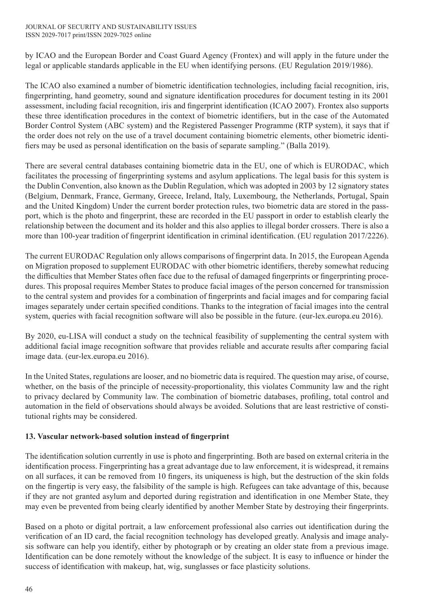by ICAO and the European Border and Coast Guard Agency (Frontex) and will apply in the future under the legal or applicable standards applicable in the EU when identifying persons. (EU Regulation 2019/1986).

The ICAO also examined a number of biometric identification technologies, including facial recognition, iris, fingerprinting, hand geometry, sound and signature identification procedures for document testing in its 2001 assessment, including facial recognition, iris and fingerprint identification (ICAO 2007). Frontex also supports these three identification procedures in the context of biometric identifiers, but in the case of the Automated Border Control System (ABC system) and the Registered Passenger Programme (RTP system), it says that if the order does not rely on the use of a travel document containing biometric elements, other biometric identifiers may be used as personal identification on the basis of separate sampling." (Balla 2019).

There are several central databases containing biometric data in the EU, one of which is EURODAC, which facilitates the processing of fingerprinting systems and asylum applications. The legal basis for this system is the Dublin Convention, also known as the Dublin Regulation, which was adopted in 2003 by 12 signatory states (Belgium, Denmark, France, Germany, Greece, Ireland, Italy, Luxembourg, the Netherlands, Portugal, Spain and the United Kingdom) Under the current border protection rules, two biometric data are stored in the passport, which is the photo and fingerprint, these are recorded in the EU passport in order to establish clearly the relationship between the document and its holder and this also applies to illegal border crossers. There is also a more than 100-year tradition of fingerprint identification in criminal identification. (EU regulation 2017/2226).

The current EURODAC Regulation only allows comparisons of fingerprint data. In 2015, the European Agenda on Migration proposed to supplement EURODAC with other biometric identifiers, thereby somewhat reducing the difficulties that Member States often face due to the refusal of damaged fingerprints or fingerprinting procedures. This proposal requires Member States to produce facial images of the person concerned for transmission to the central system and provides for a combination of fingerprints and facial images and for comparing facial images separately under certain specified conditions. Thanks to the integration of facial images into the central system, queries with facial recognition software will also be possible in the future. (eur-lex.europa.eu 2016).

By 2020, eu-LISA will conduct a study on the technical feasibility of supplementing the central system with additional facial image recognition software that provides reliable and accurate results after comparing facial image data. (eur-lex.europa.eu 2016).

In the United States, regulations are looser, and no biometric data is required. The question may arise, of course, whether, on the basis of the principle of necessity-proportionality, this violates Community law and the right to privacy declared by Community law. The combination of biometric databases, profiling, total control and automation in the field of observations should always be avoided. Solutions that are least restrictive of constitutional rights may be considered.

## **13. Vascular network-based solution instead of fingerprint**

The identification solution currently in use is photo and fingerprinting. Both are based on external criteria in the identification process. Fingerprinting has a great advantage due to law enforcement, it is widespread, it remains on all surfaces, it can be removed from 10 fingers, its uniqueness is high, but the destruction of the skin folds on the fingertip is very easy, the falsibility of the sample is high. Refugees can take advantage of this, because if they are not granted asylum and deported during registration and identification in one Member State, they may even be prevented from being clearly identified by another Member State by destroying their fingerprints.

Based on a photo or digital portrait, a law enforcement professional also carries out identification during the verification of an ID card, the facial recognition technology has developed greatly. Analysis and image analysis software can help you identify, either by photograph or by creating an older state from a previous image. Identification can be done remotely without the knowledge of the subject. It is easy to influence or hinder the success of identification with makeup, hat, wig, sunglasses or face plasticity solutions.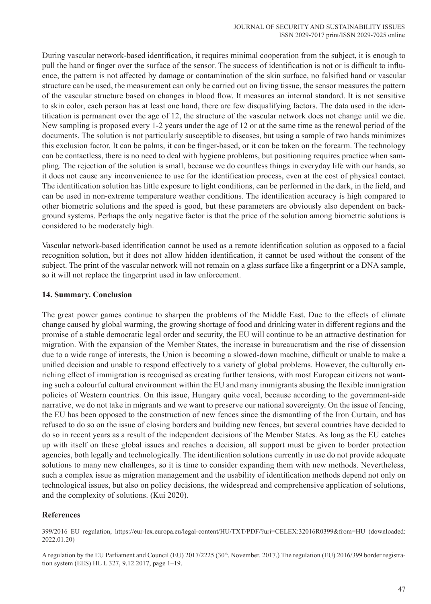During vascular network-based identification, it requires minimal cooperation from the subject, it is enough to pull the hand or finger over the surface of the sensor. The success of identification is not or is difficult to influence, the pattern is not affected by damage or contamination of the skin surface, no falsified hand or vascular structure can be used, the measurement can only be carried out on living tissue, the sensor measures the pattern of the vascular structure based on changes in blood flow. It measures an internal standard. It is not sensitive to skin color, each person has at least one hand, there are few disqualifying factors. The data used in the identification is permanent over the age of 12, the structure of the vascular network does not change until we die. New sampling is proposed every 1-2 years under the age of 12 or at the same time as the renewal period of the documents. The solution is not particularly susceptible to diseases, but using a sample of two hands minimizes this exclusion factor. It can be palms, it can be finger-based, or it can be taken on the forearm. The technology can be contactless, there is no need to deal with hygiene problems, but positioning requires practice when sampling. The rejection of the solution is small, because we do countless things in everyday life with our hands, so it does not cause any inconvenience to use for the identification process, even at the cost of physical contact. The identification solution has little exposure to light conditions, can be performed in the dark, in the field, and can be used in non-extreme temperature weather conditions. The identification accuracy is high compared to other biometric solutions and the speed is good, but these parameters are obviously also dependent on background systems. Perhaps the only negative factor is that the price of the solution among biometric solutions is considered to be moderately high.

Vascular network-based identification cannot be used as a remote identification solution as opposed to a facial recognition solution, but it does not allow hidden identification, it cannot be used without the consent of the subject. The print of the vascular network will not remain on a glass surface like a fingerprint or a DNA sample, so it will not replace the fingerprint used in law enforcement.

#### **14. Summary. Conclusion**

The great power games continue to sharpen the problems of the Middle East. Due to the effects of climate change caused by global warming, the growing shortage of food and drinking water in different regions and the promise of a stable democratic legal order and security, the EU will continue to be an attractive destination for migration. With the expansion of the Member States, the increase in bureaucratism and the rise of dissension due to a wide range of interests, the Union is becoming a slowed-down machine, difficult or unable to make a unified decision and unable to respond effectively to a variety of global problems. However, the culturally enriching effect of immigration is recognised as creating further tensions, with most European citizens not wanting such a colourful cultural environment within the EU and many immigrants abusing the flexible immigration policies of Western countries. On this issue, Hungary quite vocal, because according to the government-side narrative, we do not take in migrants and we want to preserve our national sovereignty. On the issue of fencing, the EU has been opposed to the construction of new fences since the dismantling of the Iron Curtain, and has refused to do so on the issue of closing borders and building new fences, but several countries have decided to do so in recent years as a result of the independent decisions of the Member States. As long as the EU catches up with itself on these global issues and reaches a decision, all support must be given to border protection agencies, both legally and technologically. The identification solutions currently in use do not provide adequate solutions to many new challenges, so it is time to consider expanding them with new methods. Nevertheless, such a complex issue as migration management and the usability of identification methods depend not only on technological issues, but also on policy decisions, the widespread and comprehensive application of solutions, and the complexity of solutions. (Kui 2020).

## **References**

399/2016 EU regulation, https://eur-lex.europa.eu/legal-content/HU/TXT/PDF/?uri=CELEX:32016R0399&from=HU (downloaded: 2022.01.20)

A regulation by the EU Parliament and Council (EU) 2017/2225 (30<sup>th</sup>. November. 2017.) The regulation (EU) 2016/399 border registration system (EES) HL L 327, 9.12.2017, page 1–19.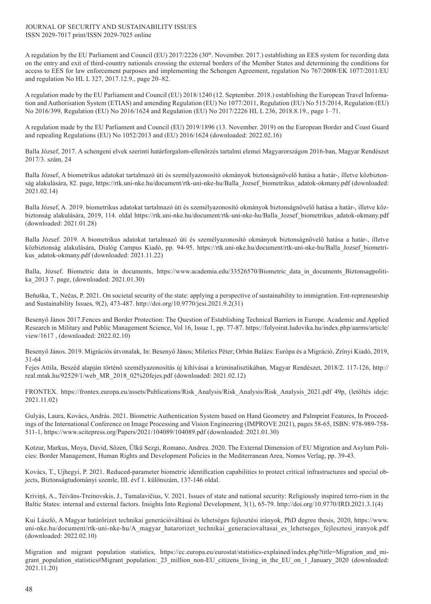#### JOURNAL OF SECURITY AND SUSTAINABILITY ISSUES ISSN 2029-7017 print/ISSN 2029-7025 online

A regulation by the EU Parliament and Council (EU) 2017/2226 (30<sup>th</sup>. November. 2017.) establishing an EES system for recording data on the entry and exit of third-country nationals crossing the external borders of the Member States and determining the conditions for access to EES for law enforcement purposes and implementing the Schengen Agreement, regulation No 767/2008/EK 1077/2011/EU and regulation No HL L 327, 2017.12.9., page 20–82.

A regulation made by the EU Parliament and Council (EU) 2018/1240 (12. September. 2018.) establishing the European Travel Information and Authorisation System (ETIAS) and amending Regulation (EU) No 1077/2011, Regulation (EU) No 515/2014, Regulation (EU) No 2016/399, Regulation (EU) No 2016/1624 and Regulation (EU) No 2017/2226 HL L 236, 2018.8.19., page 1–71.

A regulation made by the EU Parliament and Council (EU) 2019/1896 (13. November. 2019) on the European Border and Coast Guard and repealing Regulations (EU) No 1052/2013 and (EU) 2016/1624 (downloaded: 2022.02.16)

Balla József, 2017. A schengeni elvek szerinti határforgalom-ellenőrzés tartalmi elemei Magyarországon 2016-ban, Magyar Rendészet 2017/3. szám, 24

Balla József, A biometrikus adatokat tartalmazó úti és személyazonosító okmányok biztonságnövelő hatása a határ-, illetve közbiztonság alakulására, 82. page, https://rtk.uni-nke.hu/document/rtk-uni-nke-hu/Balla\_Jozsef\_biometrikus\_adatok-okmany.pdf (downloaded: 2021.02.14)

Balla József, A. 2019. biometrikus adatokat tartalmazó úti és személyazonosító okmányok biztonságnövelő hatása a határ-, illetve közbiztonság alakulására, 2019, 114. oldal https://rtk.uni-nke.hu/document/rtk-uni-nke-hu/Balla\_Jozsef\_biometrikus\_adatok-okmany.pdf (downloaded: 2021.01.28)

Balla József. 2019. A biometrikus adatokat tartalmazó úti és személyazonosító okmányok biztonságnövelő hatása a határ-, illetve közbiztonság alakulására, Dialóg Campus Kiadó, pp. 94-95. https://rtk.uni-nke.hu/document/rtk-uni-nke-hu/Balla\_Jozsef\_biometrikus\_adatok-okmany.pdf (downloaded: 2021.11.22)

Balla, József. Biometric data in documents, https://www.academia.edu/33526570/Biometric data in documents Biztonsagpolitika\_2013 7. page, (downloaded: 2021.01.30)

Beňuška, T., Nečas, P. 2021. On societal security of the state: applying a perspective of sustainability to immigration. Ent-repreneurship and Sustainability Issues, 9(2), 473-487. http://doi.org/10.9770/jesi.2021.9.2(31)

Besenyő János 2017.Fences and Border Protection: The Question of Establishing Technical Barriers in Europe. Academic and Applied Research in Military and Public Management Science, Vol 16, Issue 1, pp. 77-87. https://folyoirat.ludovika.hu/index.php/aarms/article/ view/1617 , (downloaded: 2022.02.10)

Besenyő János. 2019. Migrációs útvonalak, In: Besenyő János; Miletics Péter; Orbán Balázs: Európa és a Migráció, Zrínyi Kiadó, 2019, 31-64

Fejes Attila, Beszéd alapján történő személyazonosítás új kihívásai a kriminalisztikában, Magyar Rendészet, 2018/2. 117-126, http:// real.mtak.hu/92529/1/web\_MR\_2018\_02%20fejes.pdf (downloaded: 2021.02.12)

FRONTEX. https://frontex.europa.eu/assets/Publications/Risk\_Analysis/Risk\_Analysis/Risk\_Analysis\_2021.pdf 49p, (letöltés ideje: 2021.11.02)

Gulyás, Laura, Kovács, András. 2021. Biometric Authentication System based on Hand Geometry and Palmprint Features, In Proceedings of the International Conference on Image Processing and Vision Engineering (IMPROVE 2021), pages 58-65, ISBN: 978-989-758- 511-1, https://www.scitepress.org/Papers/2021/104089/104089.pdf (downloaded: 2021.01.30)

Kotzur, Markus, Moya, David, Sözen, Ülkü Sezgi, Romano, Andrea. 2020. The External Dimension of EU Migration and Asylum Policies: Border Management, Human Rights and Development Policies in the Mediterranean Area, Nomos Verlag, pp. 39-43.

Kovács, T., Ujhegyi, P. 2021. Reduced-parameter biometric identification capabilities to protect critical infrastructures and special objects, Biztonságtudományi szemle, III. évf 1. különszám, 137-146 oldal.

Kriviņš, A., Teivāns-Treinovskis, J., Tumalavičius, V. 2021. Issues of state and national security: Religiously inspired terro-rism in the Baltic States: internal and external factors. Insights Into Regional Development, 3(1), 65-79. http://doi.org/10.9770/IRD.2021.3.1(4)

Kui László, A Magyar határőrizet technikai generációváltásai és lehetséges fejlesztési irányok, PhD degree thesis, 2020, https://www. uni-nke.hu/document/rtk-uni-nke-hu/A\_magyar\_hatarorizet\_technikai\_generaciovaltasai\_es\_lehetseges\_fejlesztesi\_iranyok.pdf (downloaded: 2022.02.10)

Migration and migrant population statistics, https://ec.europa.eu/eurostat/statistics-explained/index.php?title=Migration\_and\_migrant\_population\_statistics#Migrant\_population:\_23\_million\_non-EU\_citizens\_living\_in\_the\_EU\_on\_1\_January\_2020 (downloaded: 2021.11.20)